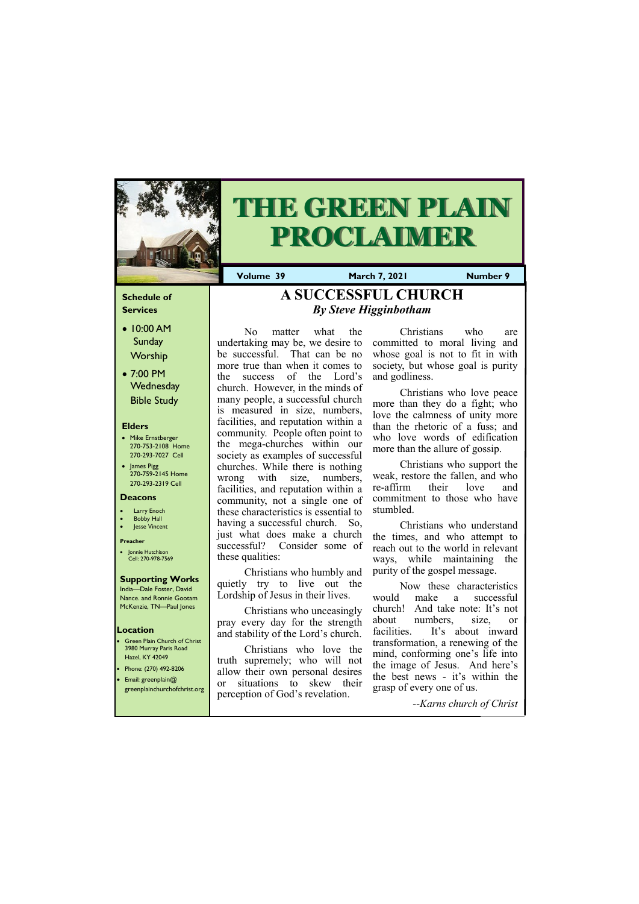#### **Schedule of Services**

- 10:00 AM Sunday Worship
- 7:00 PM **Wednesday** Bible Study

#### **Elders**

- Mike Ernstberger 270-753-2108 Home 270-293-7027 Cell
- James Pigg 270-759-2145 Home 270-293-2319 Cell

- **Green Plain Church of Christ** 3980 Murray Paris Road Hazel, KY 42049
- Phone: (270) 492-8206 • Email: greenplain@
- 

#### **Location**



# **THE GREEN PLAIN PROCLAIMER**

**Volume 39 March 7, 2021 Number 9**

#### **Deacons**

- **Larry Enoch**
- **Bobby Hall**
- Jesse Vincent

#### **Preacher**

• Jonnie Hutchison Cell: 270-978-7569

### **Supporting Works**

India—Dale Foster, David Nance. and Ronnie Gootam McKenzie, TN—Paul Jones

No matter what the undertaking may be, we desire to be successful. That can be no more true than when it comes to the success of the Lord's church. However, in the minds of many people, a successful church is measured in size, numbers, facilities, and reputation within a community. People often point to the mega‐churches within our society as examples of successful churches. While there is nothing wrong with size, numbers, facilities, and reputation within a community, not a single one of these characteristics is essential to having a successful church. So, just what does make a church successful? Consider some of these qualities:

Christians who humbly and quietly try to live out the Lordship of Jesus in their lives.

Christians who unceasingly pray every day for the strength and stability of the Lord's church.

| greenplainchurchofchrist.org | <b>OI</b><br>situations to skew their<br>perception of God's revelation. | grasp of every one of us. |
|------------------------------|--------------------------------------------------------------------------|---------------------------|
|                              |                                                                          | --Karns church of Christ  |

Christians who love the truth supremely; who will not allow their own personal desires or situations to skew their

Christians who are committed to moral living and whose goal is not to fit in with society, but whose goal is purity and godliness.

Christians who love peace more than they do a fight; who love the calmness of unity more than the rhetoric of a fuss; and who love words of edification more than the allure of gossip.

Christians who support the weak, restore the fallen, and who re‐affirm their love and commitment to those who have stumbled.

Christians who understand the times, and who attempt to reach out to the world in relevant ways, while maintaining the purity of the gospel message.

Now these characteristics would make a successful church! And take note: It's not about numbers, size, or facilities. It's about inward transformation, a renewing of the mind, conforming one's life into the image of Jesus. And here's the best news ‐ it's within the

# **A SUCCESSFUL CHURCH**  *By Steve Higginbotham*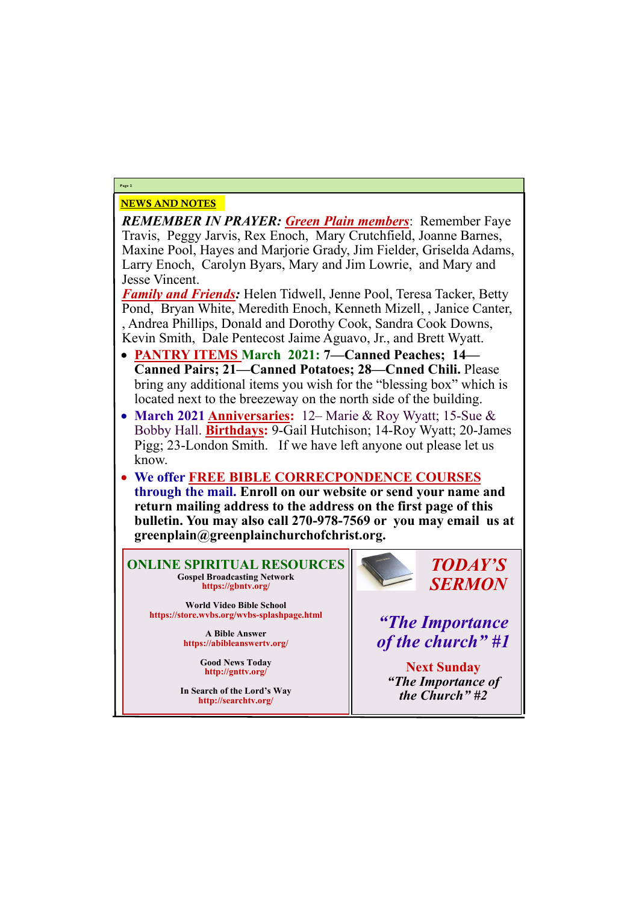# NEWS AND NOTES

*REMEMBER IN PRAYER: Green Plain members*: Remember Faye Travis, Peggy Jarvis, Rex Enoch, Mary Crutchfield, Joanne Barnes, Maxine Pool, Hayes and Marjorie Grady, Jim Fielder, Griselda Adams, Larry Enoch, Carolyn Byars, Mary and Jim Lowrie, and Mary and Jesse Vincent.

*Family and Friends:* Helen Tidwell, Jenne Pool, Teresa Tacker, Betty Pond, Bryan White, Meredith Enoch, Kenneth Mizell, , Janice Canter, , Andrea Phillips, Donald and Dorothy Cook, Sandra Cook Downs, Kevin Smith, Dale Pentecost Jaime Aguavo, Jr., and Brett Wyatt.

- **PANTRY ITEMS March 2021: 7—Canned Peaches; 14— Canned Pairs; 21—Canned Potatoes; 28—Cnned Chili.** Please bring any additional items you wish for the "blessing box" which is located next to the breezeway on the north side of the building.
- **March 2021 Anniversaries:** 12– Marie & Roy Wyatt; 15-Sue & Bobby Hall. **Birthdays:** 9-Gail Hutchison; 14-Roy Wyatt; 20-James Pigg; 23-London Smith. If we have left anyone out please let us know.
- **We offer FREE BIBLE CORRECPONDENCE COURSES through the mail. Enroll on our website or send your name and return mailing address to the address on the first page of this bulletin. You may also call 270-978-7569 or you may email us at greenplain@greenplainchurchofchrist.org.**

**Page 2**

**ONLINE SPIRITUAL RESOURCES Gospel Broadcasting Network https://gbntv.org/**

**World Video Bible School https://store.wvbs.org/wvbs-splashpage.html**

> **A Bible Answer https://abibleanswertv.org/**

> > **Good News Today http://gnttv.org/**



**In Search of the Lord's Way http://searchtv.org/**

*TODAY'S SERMON*

*"The Importance of the church" #1*

> **Next Sunday** *"The Importance of*

*the Church" #2*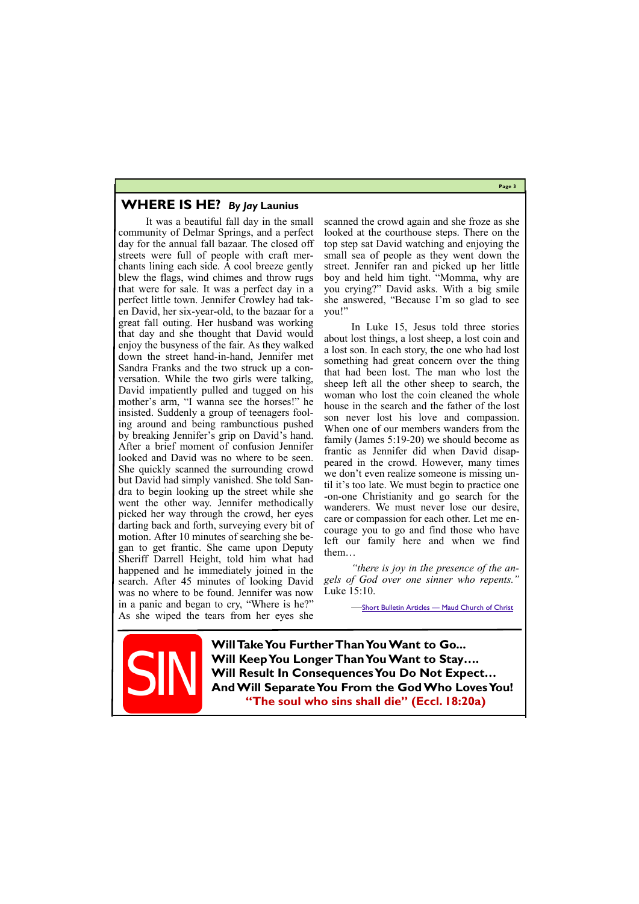**Page 3**

### **WHERE IS HE?** *By Jay* **Launius**

It was a beautiful fall day in the small community of Delmar Springs, and a perfect day for the annual fall bazaar. The closed off streets were full of people with craft merchants lining each side. A cool breeze gently blew the flags, wind chimes and throw rugs that were for sale. It was a perfect day in a perfect little town. Jennifer Crowley had taken David, her six-year-old, to the bazaar for a great fall outing. Her husband was working that day and she thought that David would enjoy the busyness of the fair. As they walked down the street hand-in-hand, Jennifer met Sandra Franks and the two struck up a conversation. While the two girls were talking, David impatiently pulled and tugged on his mother's arm, "I wanna see the horses!" he insisted. Suddenly a group of teenagers fooling around and being rambunctious pushed by breaking Jennifer's grip on David's hand. After a brief moment of confusion Jennifer looked and David was no where to be seen. She quickly scanned the surrounding crowd but David had simply vanished. She told Sandra to begin looking up the street while she went the other way. Jennifer methodically picked her way through the crowd, her eyes darting back and forth, surveying every bit of motion. After 10 minutes of searching she began to get frantic. She came upon Deputy Sheriff Darrell Height, told him what had happened and he immediately joined in the search. After 45 minutes of looking David was no where to be found. Jennifer was now in a panic and began to cry, "Where is he?" As she wiped the tears from her eyes she

UII VI **And Will Separate You From the God Who Loves You! "The soul who sins shall die" (Eccl. 18:20a)**

scanned the crowd again and she froze as she looked at the courthouse steps. There on the top step sat David watching and enjoying the small sea of people as they went down the street. Jennifer ran and picked up her little boy and held him tight. "Momma, why are you crying?" David asks. With a big smile she answered, "Because I'm so glad to see you!"

In Luke 15, Jesus told three stories about lost things, a lost sheep, a lost coin and a lost son. In each story, the one who had lost something had great concern over the thing that had been lost. The man who lost the sheep left all the other sheep to search, the woman who lost the coin cleaned the whole house in the search and the father of the lost son never lost his love and compassion. When one of our members wanders from the family (James 5:19-20) we should become as frantic as Jennifer did when David disappeared in the crowd. However, many times we don't even realize someone is missing until it's too late. We must begin to practice one -on-one Christianity and go search for the wanderers. We must never lose our desire, care or compassion for each other. Let me encourage you to go and find those who have left our family here and when we find them…

*"there is joy in the presence of the angels of God over one sinner who repents."*  Luke 15:10.

—Short Bulletin Articles — [Maud Church of Christ](http://www.maudchurch.org/short-bulletin-articles)

**Will Take You Further Than You Want to Go... Will Keep You Longer Than You Want to Stay…. Will Result In Consequences You Do Not Expect…**